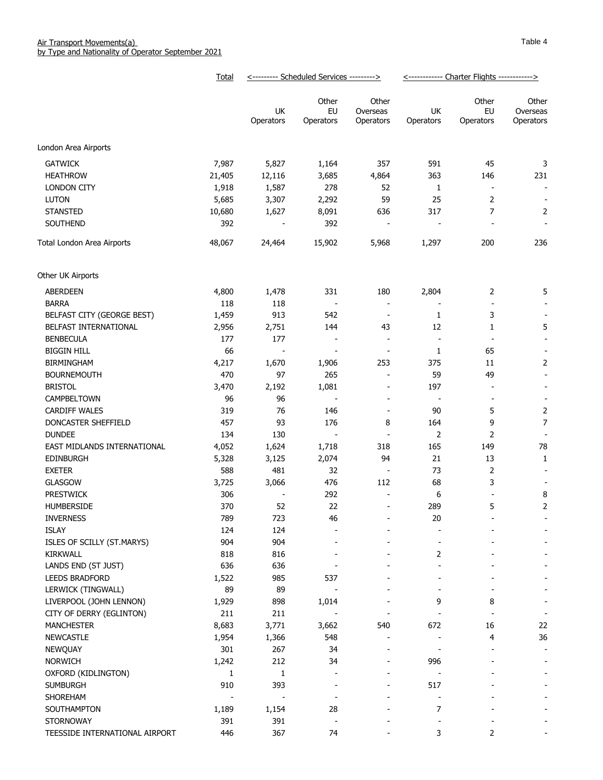|                                | Total  | <--------- Scheduled Services ---------> |                              |                                | <------------ Charter Flights ------------> |                          |                                |
|--------------------------------|--------|------------------------------------------|------------------------------|--------------------------------|---------------------------------------------|--------------------------|--------------------------------|
|                                |        | UK<br>Operators                          | Other<br>EU<br>Operators     | Other<br>Overseas<br>Operators | UK<br>Operators                             | Other<br>EU<br>Operators | Other<br>Overseas<br>Operators |
| London Area Airports           |        |                                          |                              |                                |                                             |                          |                                |
| <b>GATWICK</b>                 | 7,987  | 5,827                                    | 1,164                        | 357                            | 591                                         | 45                       | 3                              |
| <b>HEATHROW</b>                | 21,405 | 12,116                                   | 3,685                        | 4,864                          | 363                                         | 146                      | 231                            |
| <b>LONDON CITY</b>             | 1,918  | 1,587                                    | 278                          | 52                             | 1                                           | $\overline{\phantom{a}}$ | $\blacksquare$                 |
| <b>LUTON</b>                   | 5,685  | 3,307                                    | 2,292                        | 59                             | 25                                          | $\overline{2}$           | $\overline{\phantom{a}}$       |
| <b>STANSTED</b>                | 10,680 | 1,627                                    | 8,091                        | 636                            | 317                                         | 7                        | $\overline{2}$                 |
| SOUTHEND                       | 392    |                                          | 392                          | $\overline{\phantom{a}}$       |                                             |                          |                                |
| Total London Area Airports     | 48,067 | 24,464                                   | 15,902                       | 5,968                          | 1,297                                       | 200                      | 236                            |
|                                |        |                                          |                              |                                |                                             |                          |                                |
| Other UK Airports              |        |                                          |                              |                                |                                             |                          |                                |
| <b>ABERDEEN</b>                | 4,800  | 1,478                                    | 331                          | 180                            | 2,804                                       | $\overline{2}$           | 5                              |
| <b>BARRA</b>                   | 118    | 118                                      | $\overline{\phantom{a}}$     | $\overline{\phantom{a}}$       |                                             |                          |                                |
| BELFAST CITY (GEORGE BEST)     | 1,459  | 913                                      | 542                          | $\blacksquare$                 | $\mathbf{1}$                                | 3                        |                                |
| BELFAST INTERNATIONAL          | 2,956  | 2,751                                    | 144                          | 43                             | 12                                          | 1                        | 5                              |
| <b>BENBECULA</b>               | 177    | 177                                      |                              | $\overline{\phantom{a}}$       | $\overline{\phantom{a}}$                    | $\overline{\phantom{a}}$ |                                |
| <b>BIGGIN HILL</b>             | 66     | $\overline{\phantom{a}}$                 | $\overline{\phantom{a}}$     | $\overline{\phantom{a}}$       | 1                                           | 65                       | $\overline{\phantom{a}}$       |
| <b>BIRMINGHAM</b>              | 4,217  | 1,670                                    | 1,906                        | 253                            | 375                                         | 11                       | 2                              |
| <b>BOURNEMOUTH</b>             | 470    | 97                                       | 265                          | $\overline{\phantom{a}}$       | 59                                          | 49                       | $\overline{\phantom{a}}$       |
| <b>BRISTOL</b>                 | 3,470  | 2,192                                    | 1,081                        | $\overline{\phantom{a}}$       | 197                                         | $\overline{\phantom{a}}$ | $\blacksquare$                 |
| CAMPBELTOWN                    | 96     | 96                                       | $\blacksquare$               | $\overline{\phantom{a}}$       | $\overline{\phantom{a}}$                    | $\sim$                   | $\overline{\phantom{a}}$       |
| <b>CARDIFF WALES</b>           | 319    | 76                                       | 146                          | $\overline{\phantom{a}}$       | 90                                          | 5                        | 2                              |
| DONCASTER SHEFFIELD            | 457    | 93                                       | 176                          | 8                              | 164                                         | 9                        | $\overline{7}$                 |
| <b>DUNDEE</b>                  | 134    | 130                                      | $\overline{\phantom{a}}$     | $\overline{\phantom{a}}$       | $\overline{2}$                              | 2                        |                                |
| EAST MIDLANDS INTERNATIONAL    | 4,052  | 1,624                                    | 1,718                        | 318                            | 165                                         | 149                      | 78                             |
| <b>EDINBURGH</b>               | 5,328  | 3,125                                    | 2,074                        | 94                             | 21                                          | 13                       | 1                              |
| <b>EXETER</b>                  | 588    | 481                                      | 32                           | $\overline{\phantom{a}}$       | 73                                          | 2                        |                                |
| <b>GLASGOW</b>                 | 3,725  | 3,066                                    | 476                          | 112                            | 68                                          | 3                        |                                |
| <b>PRESTWICK</b>               | 306    |                                          | 292                          | $\overline{a}$                 | 6                                           |                          | 8                              |
| HUMBERSIDE                     | 370    | 52                                       | 22                           | $\overline{a}$                 | 289                                         | 5                        | 2                              |
| <b>INVERNESS</b>               | 789    | 723                                      | 46                           |                                | 20                                          |                          |                                |
| <b>ISLAY</b>                   | 124    | 124                                      |                              |                                |                                             |                          |                                |
| ISLES OF SCILLY (ST.MARYS)     | 904    | 904                                      |                              |                                |                                             |                          |                                |
| <b>KIRKWALL</b>                | 818    | 816                                      |                              |                                | 2                                           |                          |                                |
| LANDS END (ST JUST)            | 636    | 636                                      |                              |                                |                                             |                          |                                |
| <b>LEEDS BRADFORD</b>          | 1,522  | 985                                      | 537                          |                                |                                             |                          |                                |
| LERWICK (TINGWALL)             | 89     | 89                                       |                              |                                |                                             |                          |                                |
| LIVERPOOL (JOHN LENNON)        | 1,929  | 898                                      | 1,014                        |                                | 9                                           | 8                        |                                |
| CITY OF DERRY (EGLINTON)       | 211    | 211                                      |                              |                                |                                             |                          | $\overline{\phantom{a}}$       |
| <b>MANCHESTER</b>              | 8,683  | 3,771                                    | 3,662                        | 540                            | 672                                         | 16                       | 22                             |
| <b>NEWCASTLE</b>               | 1,954  | 1,366                                    | 548                          |                                |                                             | 4                        | 36                             |
| NEWQUAY                        | 301    | 267                                      | 34                           | $\blacksquare$                 |                                             |                          | $\overline{\phantom{a}}$       |
| <b>NORWICH</b>                 | 1,242  | 212                                      | 34                           | $\qquad \qquad$                | 996                                         |                          | $\overline{\phantom{a}}$       |
| OXFORD (KIDLINGTON)            | 1      | 1                                        | $\overline{\phantom{a}}$     | $\qquad \qquad \blacksquare$   |                                             |                          | -                              |
| <b>SUMBURGH</b>                | 910    | 393                                      | $\qquad \qquad$              | ۰                              | 517                                         |                          |                                |
| <b>SHOREHAM</b>                |        |                                          | $\qquad \qquad \blacksquare$ |                                |                                             |                          |                                |
| SOUTHAMPTON                    | 1,189  | 1,154                                    | 28                           | ۰                              | $\overline{7}$                              |                          |                                |
| <b>STORNOWAY</b>               | 391    | 391                                      |                              |                                |                                             |                          |                                |
| TEESSIDE INTERNATIONAL AIRPORT | 446    | 367                                      | 74                           |                                | 3                                           | 2                        |                                |